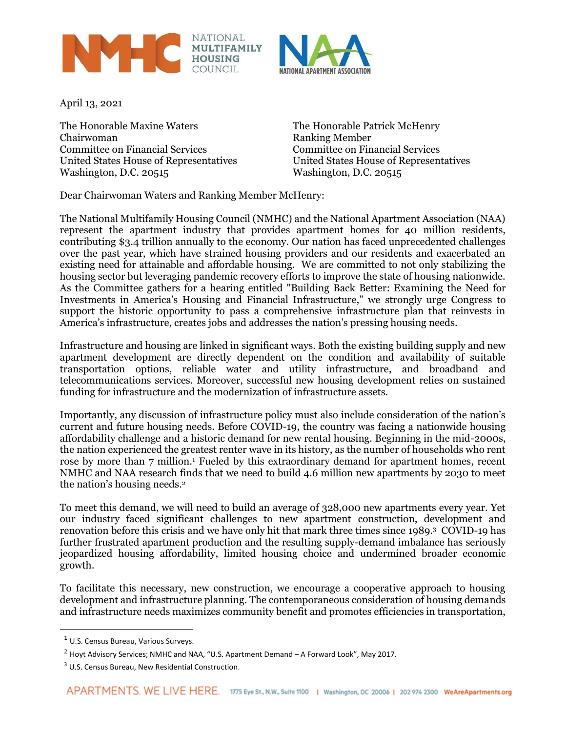



April 13, 2021

The Honorable Maxine Waters The Honorable Patrick McHenry Chairwoman **Ranking Member** Committee on Financial Services Committee on Financial Services United States House of Representatives United States House of Representatives Washington, D.C. 20515

Dear Chairwoman Waters and Ranking Member McHenry:

The National Multifamily Housing Council (NMHC) and the National Apartment Association (NAA) represent the apartment industry that provides apartment homes for 40 million residents, contributing \$3.4 trillion annually to the economy. Our nation has faced unprecedented challenges over the past year, which have strained housing providers and our residents and exacerbated an existing need for attainable and affordable housing. We are committed to not only stabilizing the housing sector but leveraging pandemic recovery efforts to improve the state of housing nationwide. As the Committee gathers for a hearing entitled "Building Back Better: Examining the Need for Investments in America's Housing and Financial Infrastructure," we strongly urge Congress to support the historic opportunity to pass a comprehensive infrastructure plan that reinvests in America's infrastructure, creates jobs and addresses the nation's pressing housing needs.

Infrastructure and housing are linked in significant ways. Both the existing building supply and new apartment development are directly dependent on the condition and availability of suitable transportation options, reliable water and utility infrastructure, and broadband and telecommunications services. Moreover, successful new housing development relies on sustained funding for infrastructure and the modernization of infrastructure assets.

Importantly, any discussion of infrastructure policy must also include consideration of the nation's current and future housing needs. Before COVID-19, the country was facing a nationwide housing affordability challenge and a historic demand for new rental housing. Beginning in the mid-2000s, the nation experienced the greatest renter wave in its history, as the number of households who rent rose by more than 7 million.<sup>1</sup> Fueled by this extraordinary demand for apartment homes, recent NMHC and NAA research finds that we need to build 4.6 million new apartments by 2030 to meet the nation's housing needs.<sup>2</sup>

To meet this demand, we will need to build an average of 328,000 new apartments every year. Yet our industry faced significant challenges to new apartment construction, development and renovation before this crisis and we have only hit that mark three times since 1989.<sup>3</sup> COVID-19 has further frustrated apartment production and the resulting supply-demand imbalance has seriously jeopardized housing affordability, limited housing choice and undermined broader economic growth.

To facilitate this necessary, new construction, we encourage a cooperative approach to housing development and infrastructure planning. The contemporaneous consideration of housing demands and infrastructure needs maximizes community benefit and promotes efficiencies in transportation,

<sup>&</sup>lt;sup>1</sup> U.S. Census Bureau, Various Surveys.

 $2$  Hoyt Advisory Services; NMHC and NAA, "U.S. Apartment Demand  $-A$  Forward Look", May 2017.

<sup>3</sup> U.S. Census Bureau, New Residential Construction.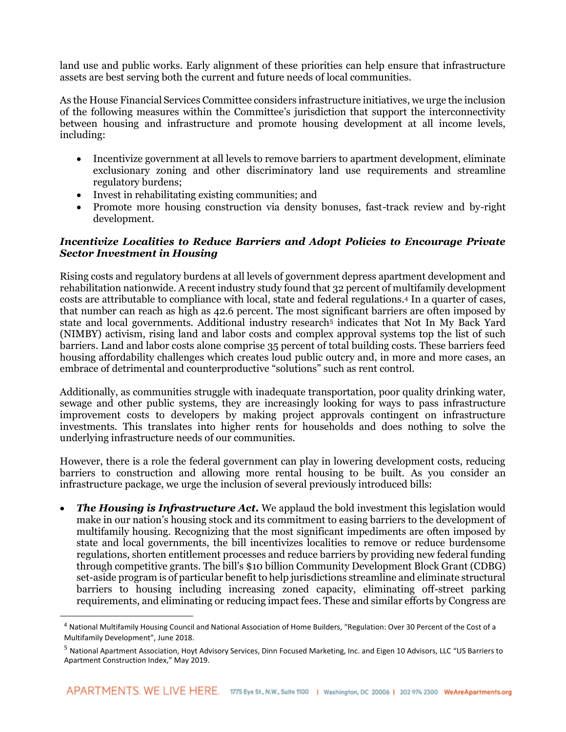land use and public works. Early alignment of these priorities can help ensure that infrastructure assets are best serving both the current and future needs of local communities.

As the House Financial Services Committee considers infrastructure initiatives, we urge the inclusion of the following measures within the Committee's jurisdiction that support the interconnectivity between housing and infrastructure and promote housing development at all income levels, including:

- Incentivize government at all levels to remove barriers to apartment development, eliminate exclusionary zoning and other discriminatory land use requirements and streamline regulatory burdens;
- Invest in rehabilitating existing communities; and
- Promote more housing construction via density bonuses, fast-track review and by-right development.

### *Incentivize Localities to Reduce Barriers and Adopt Policies to Encourage Private Sector Investment in Housing*

Rising costs and regulatory burdens at all levels of government depress apartment development and rehabilitation nationwide. A recent industry study found that 32 percent of multifamily development costs are attributable to compliance with local, state and federal regulations.<sup>4</sup> In a quarter of cases, that number can reach as high as 42.6 percent. The most significant barriers are often imposed by state and local governments. Additional industry research<sup>5</sup> indicates that Not In My Back Yard (NIMBY) activism, rising land and labor costs and complex approval systems top the list of such barriers. Land and labor costs alone comprise 35 percent of total building costs. These barriers feed housing affordability challenges which creates loud public outcry and, in more and more cases, an embrace of detrimental and counterproductive "solutions" such as rent control.

Additionally, as communities struggle with inadequate transportation, poor quality drinking water, sewage and other public systems, they are increasingly looking for ways to pass infrastructure improvement costs to developers by making project approvals contingent on infrastructure investments. This translates into higher rents for households and does nothing to solve the underlying infrastructure needs of our communities.

However, there is a role the federal government can play in lowering development costs, reducing barriers to construction and allowing more rental housing to be built. As you consider an infrastructure package, we urge the inclusion of several previously introduced bills:

• *The Housing is Infrastructure Act.* We applaud the bold investment this legislation would make in our nation's housing stock and its commitment to easing barriers to the development of multifamily housing. Recognizing that the most significant impediments are often imposed by state and local governments, the bill incentivizes localities to remove or reduce burdensome regulations, shorten entitlement processes and reduce barriers by providing new federal funding through competitive grants. The bill's \$10 billion Community Development Block Grant (CDBG) set-aside program is of particular benefit to help jurisdictions streamline and eliminate structural barriers to housing including increasing zoned capacity, eliminating off-street parking requirements, and eliminating or reducing impact fees. These and similar efforts by Congress are

<sup>&</sup>lt;sup>4</sup> National Multifamily Housing Council and National Association of Home Builders, "Regulation: Over 30 Percent of the Cost of a Multifamily Development", June 2018.

<sup>5</sup> National Apartment Association, Hoyt Advisory Services, Dinn Focused Marketing, Inc. and Eigen 10 Advisors, LLC "US Barriers to Apartment Construction Index," May 2019.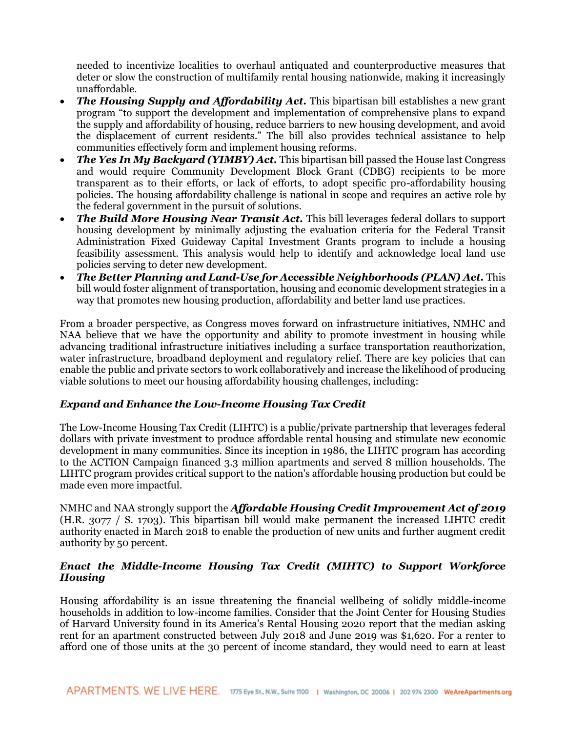needed to incentivize localities to overhaul antiquated and counterproductive measures that deter or slow the construction of multifamily rental housing nationwide, making it increasingly unaffordable.

- *The Housing Supply and Affordability Act*. This bipartisan bill establishes a new grant program "to support the development and implementation of comprehensive plans to expand the supply and affordability of housing, reduce barriers to new housing development, and avoid the displacement of current residents." The bill also provides technical assistance to help communities effectively form and implement housing reforms.
- *The Yes In My Backyard (YIMBY) Act.* This bipartisan bill passed the House last Congress and would require Community Development Block Grant (CDBG) recipients to be more transparent as to their efforts, or lack of efforts, to adopt specific pro-affordability housing policies. The housing affordability challenge is national in scope and requires an active role by the federal government in the pursuit of solutions.
- *The Build More Housing Near Transit Act.* This bill leverages federal dollars to support housing development by minimally adjusting the evaluation criteria for the Federal Transit Administration Fixed Guideway Capital Investment Grants program to include a housing feasibility assessment. This analysis would help to identify and acknowledge local land use policies serving to deter new development.
- *The Better Planning and Land-Use for Accessible Neighborhoods (PLAN) Act.* This bill would foster alignment of transportation, housing and economic development strategies in a way that promotes new housing production, affordability and better land use practices.

From a broader perspective, as Congress moves forward on infrastructure initiatives, NMHC and NAA believe that we have the opportunity and ability to promote investment in housing while advancing traditional infrastructure initiatives including a surface transportation reauthorization, water infrastructure, broadband deployment and regulatory relief. There are key policies that can enable the public and private sectors to work collaboratively and increase the likelihood of producing viable solutions to meet our housing affordability housing challenges, including:

### *Expand and Enhance the Low-Income Housing Tax Credit*

The Low-Income Housing Tax Credit (LIHTC) is a public/private partnership that leverages federal dollars with private investment to produce affordable rental housing and stimulate new economic development in many communities. Since its inception in 1986, the LIHTC program has according to the ACTION Campaign financed 3.3 million apartments and served 8 million households. The LIHTC program provides critical support to the nation's affordable housing production but could be made even more impactful.

NMHC and NAA strongly support the *Affordable Housing Credit Improvement Act of 2019*  (H.R. 3077 / S. 1703). This bipartisan bill would make permanent the increased LIHTC credit authority enacted in March 2018 to enable the production of new units and further augment credit authority by 50 percent.

# *Enact the Middle-Income Housing Tax Credit (MIHTC) to Support Workforce Housing*

Housing affordability is an issue threatening the financial wellbeing of solidly middle-income households in addition to low-income families. Consider that the Joint Center for Housing Studies of Harvard University found in its America's Rental Housing 2020 report that the median asking rent for an apartment constructed between July 2018 and June 2019 was \$1,620. For a renter to afford one of those units at the 30 percent of income standard, they would need to earn at least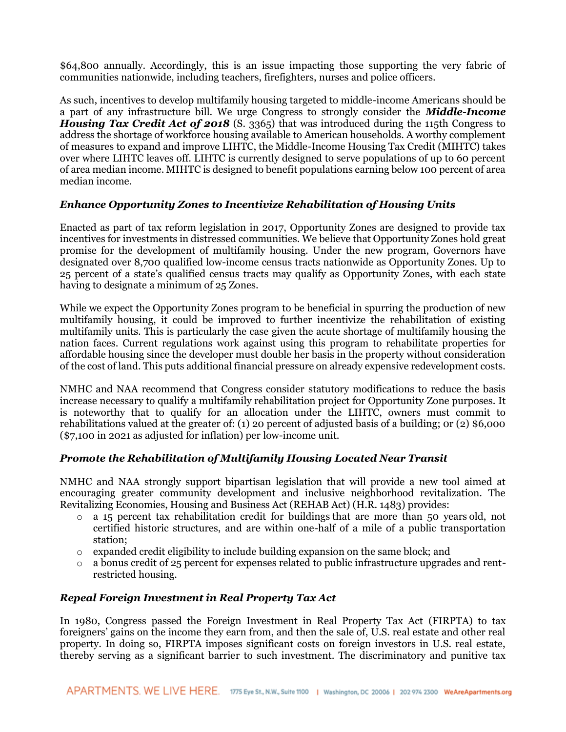\$64,800 annually. Accordingly, this is an issue impacting those supporting the very fabric of communities nationwide, including teachers, firefighters, nurses and police officers.

As such, incentives to develop multifamily housing targeted to middle-income Americans should be a part of any infrastructure bill. We urge Congress to strongly consider the *Middle-Income Housing Tax Credit Act of 2018* (S. 3365) that was introduced during the 115th Congress to address the shortage of workforce housing available to American households. A worthy complement of measures to expand and improve LIHTC, the Middle-Income Housing Tax Credit (MIHTC) takes over where LIHTC leaves off. LIHTC is currently designed to serve populations of up to 60 percent of area median income. MIHTC is designed to benefit populations earning below 100 percent of area median income.

# *Enhance Opportunity Zones to Incentivize Rehabilitation of Housing Units*

Enacted as part of tax reform legislation in 2017, Opportunity Zones are designed to provide tax incentives for investments in distressed communities. We believe that Opportunity Zones hold great promise for the development of multifamily housing. Under the new program, Governors have designated over 8,700 qualified low-income census tracts nationwide as Opportunity Zones. Up to 25 percent of a state's qualified census tracts may qualify as Opportunity Zones, with each state having to designate a minimum of 25 Zones.

While we expect the Opportunity Zones program to be beneficial in spurring the production of new multifamily housing, it could be improved to further incentivize the rehabilitation of existing multifamily units. This is particularly the case given the acute shortage of multifamily housing the nation faces. Current regulations work against using this program to rehabilitate properties for affordable housing since the developer must double her basis in the property without consideration of the cost of land. This puts additional financial pressure on already expensive redevelopment costs.

NMHC and NAA recommend that Congress consider statutory modifications to reduce the basis increase necessary to qualify a multifamily rehabilitation project for Opportunity Zone purposes. It is noteworthy that to qualify for an allocation under the LIHTC, owners must commit to rehabilitations valued at the greater of: (1) 20 percent of adjusted basis of a building; 0r (2) \$6,000 (\$7,100 in 2021 as adjusted for inflation) per low-income unit.

### *Promote the Rehabilitation of Multifamily Housing Located Near Transit*

NMHC and NAA strongly support bipartisan legislation that will provide a new tool aimed at encouraging greater community development and inclusive neighborhood revitalization. The Revitalizing Economies, Housing and Business Act (REHAB Act) (H.R. 1483) provides:

- $\circ$  a 15 percent tax rehabilitation credit for buildings that are more than 50 years old, not certified historic structures, and are within one-half of a mile of a public transportation station;
- $\circ$  expanded credit eligibility to include building expansion on the same block; and
- a bonus credit of 25 percent for expenses related to public infrastructure upgrades and rentrestricted housing.

### *Repeal Foreign Investment in Real Property Tax Act*

In 1980, Congress passed the Foreign Investment in Real Property Tax Act (FIRPTA) to tax foreigners' gains on the income they earn from, and then the sale of, U.S. real estate and other real property. In doing so, FIRPTA imposes significant costs on foreign investors in U.S. real estate, thereby serving as a significant barrier to such investment. The discriminatory and punitive tax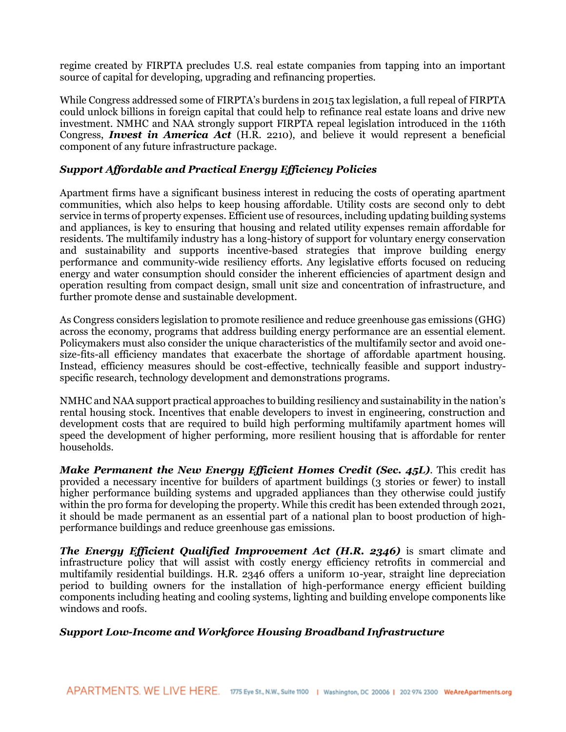regime created by FIRPTA precludes U.S. real estate companies from tapping into an important source of capital for developing, upgrading and refinancing properties.

While Congress addressed some of FIRPTA's burdens in 2015 tax legislation, a full repeal of FIRPTA could unlock billions in foreign capital that could help to refinance real estate loans and drive new investment. NMHC and NAA strongly support FIRPTA repeal legislation introduced in the 116th Congress, *Invest in America Act* (H.R. 2210), and believe it would represent a beneficial component of any future infrastructure package.

# *Support Affordable and Practical Energy Efficiency Policies*

Apartment firms have a significant business interest in reducing the costs of operating apartment communities, which also helps to keep housing affordable. Utility costs are second only to debt service in terms of property expenses. Efficient use of resources, including updating building systems and appliances, is key to ensuring that housing and related utility expenses remain affordable for residents. The multifamily industry has a long-history of support for voluntary energy conservation and sustainability and supports incentive-based strategies that improve building energy performance and community-wide resiliency efforts. Any legislative efforts focused on reducing energy and water consumption should consider the inherent efficiencies of apartment design and operation resulting from compact design, small unit size and concentration of infrastructure, and further promote dense and sustainable development.

As Congress considers legislation to promote resilience and reduce greenhouse gas emissions (GHG) across the economy, programs that address building energy performance are an essential element. Policymakers must also consider the unique characteristics of the multifamily sector and avoid onesize-fits-all efficiency mandates that exacerbate the shortage of affordable apartment housing. Instead, efficiency measures should be cost-effective, technically feasible and support industryspecific research, technology development and demonstrations programs.

NMHC and NAA support practical approaches to building resiliency and sustainability in the nation's rental housing stock. Incentives that enable developers to invest in engineering, construction and development costs that are required to build high performing multifamily apartment homes will speed the development of higher performing, more resilient housing that is affordable for renter households.

*Make Permanent the New Energy Efficient Homes Credit (Sec. 45L).* This credit has provided a necessary incentive for builders of apartment buildings (3 stories or fewer) to install higher performance building systems and upgraded appliances than they otherwise could justify within the pro forma for developing the property. While this credit has been extended through 2021, it should be made permanent as an essential part of a national plan to boost production of highperformance buildings and reduce greenhouse gas emissions.

*The Energy Efficient Qualified Improvement Act (H.R. 2346)* is smart climate and infrastructure policy that will assist with costly energy efficiency retrofits in commercial and multifamily residential buildings. H.R. 2346 offers a uniform 10-year, straight line depreciation period to building owners for the installation of high-performance energy efficient building components including heating and cooling systems, lighting and building envelope components like windows and roofs.

### *Support Low-Income and Workforce Housing Broadband Infrastructure*